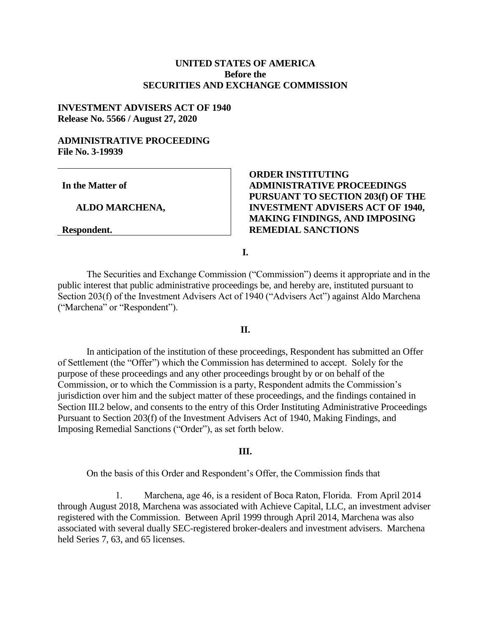## **UNITED STATES OF AMERICA Before the SECURITIES AND EXCHANGE COMMISSION**

## **INVESTMENT ADVISERS ACT OF 1940 Release No. 5566 / August 27, 2020**

## **ADMINISTRATIVE PROCEEDING File No. 3-19939**

**In the Matter of**

 **ALDO MARCHENA,**

**Respondent.**

# **ORDER INSTITUTING ADMINISTRATIVE PROCEEDINGS PURSUANT TO SECTION 203(f) OF THE INVESTMENT ADVISERS ACT OF 1940, MAKING FINDINGS, AND IMPOSING REMEDIAL SANCTIONS**

**I.**

The Securities and Exchange Commission ("Commission") deems it appropriate and in the public interest that public administrative proceedings be, and hereby are, instituted pursuant to Section 203(f) of the Investment Advisers Act of 1940 ("Advisers Act") against Aldo Marchena ("Marchena" or "Respondent").

## **II.**

In anticipation of the institution of these proceedings, Respondent has submitted an Offer of Settlement (the "Offer") which the Commission has determined to accept. Solely for the purpose of these proceedings and any other proceedings brought by or on behalf of the Commission, or to which the Commission is a party, Respondent admits the Commission's jurisdiction over him and the subject matter of these proceedings, and the findings contained in Section III.2 below, and consents to the entry of this Order Instituting Administrative Proceedings Pursuant to Section 203(f) of the Investment Advisers Act of 1940, Making Findings, and Imposing Remedial Sanctions ("Order"), as set forth below.

### **III.**

On the basis of this Order and Respondent's Offer, the Commission finds that

1. Marchena, age 46, is a resident of Boca Raton, Florida. From April 2014 through August 2018, Marchena was associated with Achieve Capital, LLC, an investment adviser registered with the Commission. Between April 1999 through April 2014, Marchena was also associated with several dually SEC-registered broker-dealers and investment advisers. Marchena held Series 7, 63, and 65 licenses.